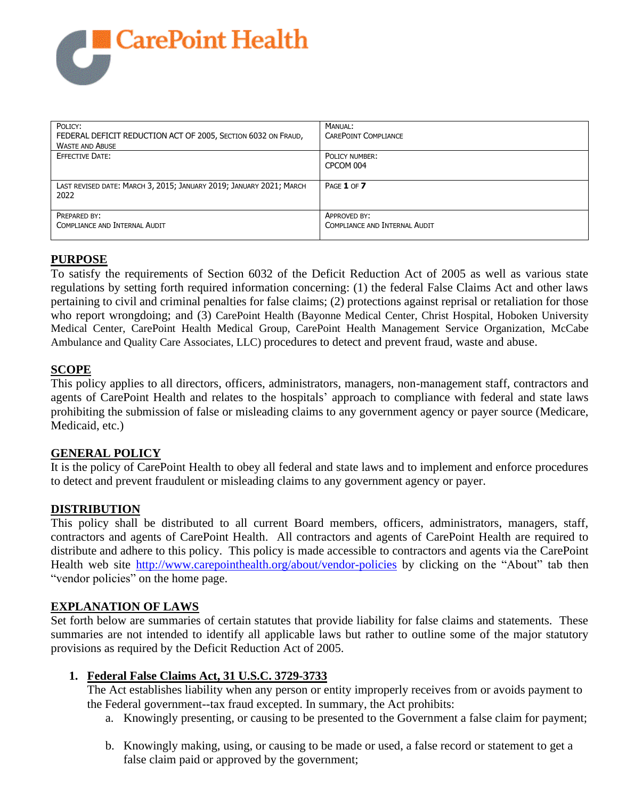

| POLICY:<br>FEDERAL DEFICIT REDUCTION ACT OF 2005, SECTION 6032 ON FRAUD,<br><b>WASTE AND ABUSE</b> | MANUAL:<br>CAREPOINT COMPLIANCE               |
|----------------------------------------------------------------------------------------------------|-----------------------------------------------|
| <b>EFFECTIVE DATE:</b>                                                                             | POLICY NUMBER:<br>CPCOM 004                   |
| LAST REVISED DATE: MARCH 3, 2015; JANUARY 2019; JANUARY 2021; MARCH<br>2022                        | PAGE 1 OF 7                                   |
| PREPARED BY:<br>COMPLIANCE AND INTERNAL AUDIT                                                      | APPROVED BY:<br>COMPLIANCE AND INTERNAL AUDIT |

# **PURPOSE**

To satisfy the requirements of Section 6032 of the Deficit Reduction Act of 2005 as well as various state regulations by setting forth required information concerning: (1) the federal False Claims Act and other laws pertaining to civil and criminal penalties for false claims; (2) protections against reprisal or retaliation for those who report wrongdoing; and (3) CarePoint Health (Bayonne Medical Center, Christ Hospital, Hoboken University Medical Center, CarePoint Health Medical Group, CarePoint Health Management Service Organization, McCabe Ambulance and Quality Care Associates, LLC) procedures to detect and prevent fraud, waste and abuse.

### **SCOPE**

This policy applies to all directors, officers, administrators, managers, non-management staff, contractors and agents of CarePoint Health and relates to the hospitals' approach to compliance with federal and state laws prohibiting the submission of false or misleading claims to any government agency or payer source (Medicare, Medicaid, etc.)

### **GENERAL POLICY**

It is the policy of CarePoint Health to obey all federal and state laws and to implement and enforce procedures to detect and prevent fraudulent or misleading claims to any government agency or payer.

#### **DISTRIBUTION**

This policy shall be distributed to all current Board members, officers, administrators, managers, staff, contractors and agents of CarePoint Health. All contractors and agents of CarePoint Health are required to distribute and adhere to this policy. This policy is made accessible to contractors and agents via the CarePoint Health web site<http://www.carepointhealth.org/about/vendor-policies> by clicking on the "About" tab then "vendor policies" on the home page.

#### **EXPLANATION OF LAWS**

Set forth below are summaries of certain statutes that provide liability for false claims and statements. These summaries are not intended to identify all applicable laws but rather to outline some of the major statutory provisions as required by the Deficit Reduction Act of 2005.

#### **1. Federal False Claims Act, 31 U.S.C. 3729-3733**

The Act establishes liability when any person or entity improperly receives from or avoids payment to the Federal government--tax fraud excepted. In summary, the Act prohibits:

- a. Knowingly presenting, or causing to be presented to the Government a false claim for payment;
- b. Knowingly making, using, or causing to be made or used, a false record or statement to get a false claim paid or approved by the government;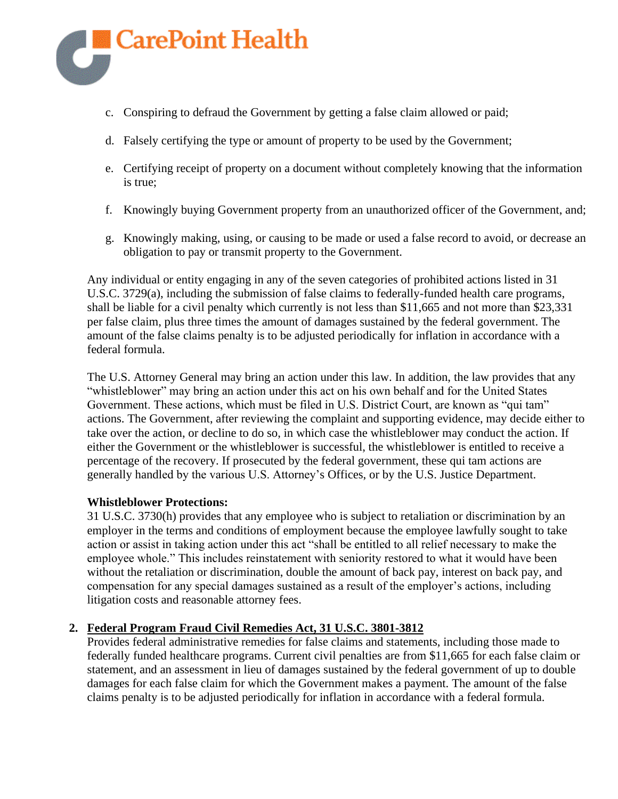

- c. Conspiring to defraud the Government by getting a false claim allowed or paid;
- d. Falsely certifying the type or amount of property to be used by the Government;
- e. Certifying receipt of property on a document without completely knowing that the information is true;
- f. Knowingly buying Government property from an unauthorized officer of the Government, and;
- g. Knowingly making, using, or causing to be made or used a false record to avoid, or decrease an obligation to pay or transmit property to the Government.

Any individual or entity engaging in any of the seven categories of prohibited actions listed in 31 U.S.C. 3729(a), including the submission of false claims to federally-funded health care programs, shall be liable for a civil penalty which currently is not less than \$11,665 and not more than \$23,331 per false claim, plus three times the amount of damages sustained by the federal government. The amount of the false claims penalty is to be adjusted periodically for inflation in accordance with a federal formula.

The U.S. Attorney General may bring an action under this law. In addition, the law provides that any "whistleblower" may bring an action under this act on his own behalf and for the United States Government. These actions, which must be filed in U.S. District Court, are known as "qui tam" actions. The Government, after reviewing the complaint and supporting evidence, may decide either to take over the action, or decline to do so, in which case the whistleblower may conduct the action. If either the Government or the whistleblower is successful, the whistleblower is entitled to receive a percentage of the recovery. If prosecuted by the federal government, these qui tam actions are generally handled by the various U.S. Attorney's Offices, or by the U.S. Justice Department.

### **Whistleblower Protections:**

31 U.S.C. 3730(h) provides that any employee who is subject to retaliation or discrimination by an employer in the terms and conditions of employment because the employee lawfully sought to take action or assist in taking action under this act "shall be entitled to all relief necessary to make the employee whole." This includes reinstatement with seniority restored to what it would have been without the retaliation or discrimination, double the amount of back pay, interest on back pay, and compensation for any special damages sustained as a result of the employer's actions, including litigation costs and reasonable attorney fees.

# **2. Federal Program Fraud Civil Remedies Act, 31 U.S.C. 3801-3812**

Provides federal administrative remedies for false claims and statements, including those made to federally funded healthcare programs. Current civil penalties are from \$11,665 for each false claim or statement, and an assessment in lieu of damages sustained by the federal government of up to double damages for each false claim for which the Government makes a payment. The amount of the false claims penalty is to be adjusted periodically for inflation in accordance with a federal formula.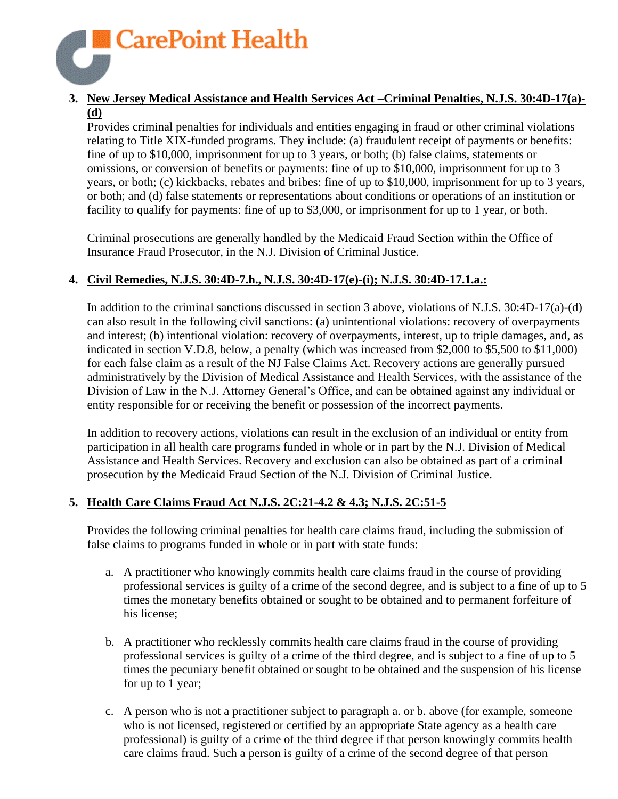

### **3. New Jersey Medical Assistance and Health Services Act –Criminal Penalties, N.J.S. 30:4D-17(a)- (d)**

Provides criminal penalties for individuals and entities engaging in fraud or other criminal violations relating to Title XIX-funded programs. They include: (a) fraudulent receipt of payments or benefits: fine of up to \$10,000, imprisonment for up to 3 years, or both; (b) false claims, statements or omissions, or conversion of benefits or payments: fine of up to \$10,000, imprisonment for up to 3 years, or both; (c) kickbacks, rebates and bribes: fine of up to \$10,000, imprisonment for up to 3 years, or both; and (d) false statements or representations about conditions or operations of an institution or facility to qualify for payments: fine of up to \$3,000, or imprisonment for up to 1 year, or both.

Criminal prosecutions are generally handled by the Medicaid Fraud Section within the Office of Insurance Fraud Prosecutor, in the N.J. Division of Criminal Justice.

# **4. Civil Remedies, N.J.S. 30:4D-7.h., N.J.S. 30:4D-17(e)-(i); N.J.S. 30:4D-17.1.a.:**

In addition to the criminal sanctions discussed in section 3 above, violations of N.J.S. 30:4D-17(a)-(d) can also result in the following civil sanctions: (a) unintentional violations: recovery of overpayments and interest; (b) intentional violation: recovery of overpayments, interest, up to triple damages, and, as indicated in section V.D.8, below, a penalty (which was increased from \$2,000 to \$5,500 to \$11,000) for each false claim as a result of the NJ False Claims Act. Recovery actions are generally pursued administratively by the Division of Medical Assistance and Health Services, with the assistance of the Division of Law in the N.J. Attorney General's Office, and can be obtained against any individual or entity responsible for or receiving the benefit or possession of the incorrect payments.

In addition to recovery actions, violations can result in the exclusion of an individual or entity from participation in all health care programs funded in whole or in part by the N.J. Division of Medical Assistance and Health Services. Recovery and exclusion can also be obtained as part of a criminal prosecution by the Medicaid Fraud Section of the N.J. Division of Criminal Justice.

### **5. Health Care Claims Fraud Act N.J.S. 2C:21-4.2 & 4.3; N.J.S. 2C:51-5**

Provides the following criminal penalties for health care claims fraud, including the submission of false claims to programs funded in whole or in part with state funds:

- a. A practitioner who knowingly commits health care claims fraud in the course of providing professional services is guilty of a crime of the second degree, and is subject to a fine of up to 5 times the monetary benefits obtained or sought to be obtained and to permanent forfeiture of his license;
- b. A practitioner who recklessly commits health care claims fraud in the course of providing professional services is guilty of a crime of the third degree, and is subject to a fine of up to 5 times the pecuniary benefit obtained or sought to be obtained and the suspension of his license for up to 1 year;
- c. A person who is not a practitioner subject to paragraph a. or b. above (for example, someone who is not licensed, registered or certified by an appropriate State agency as a health care professional) is guilty of a crime of the third degree if that person knowingly commits health care claims fraud. Such a person is guilty of a crime of the second degree of that person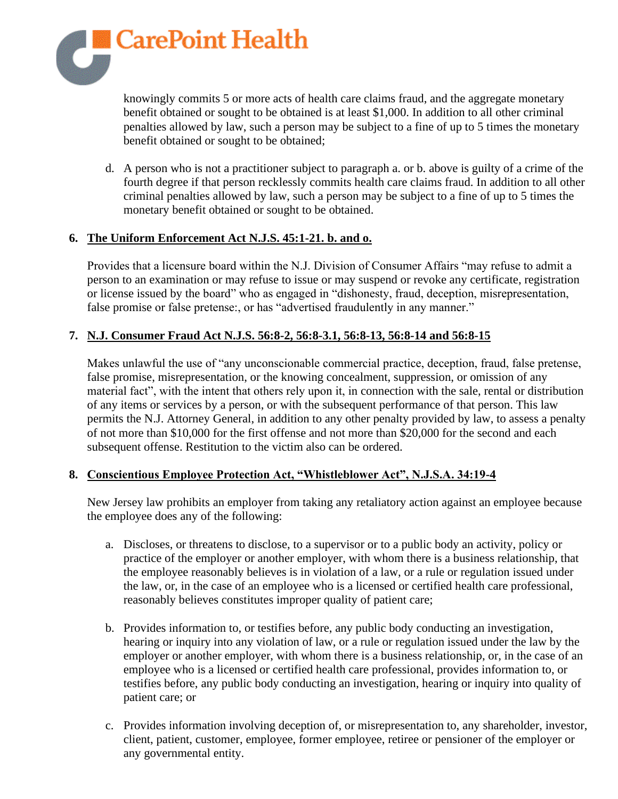

knowingly commits 5 or more acts of health care claims fraud, and the aggregate monetary benefit obtained or sought to be obtained is at least \$1,000. In addition to all other criminal penalties allowed by law, such a person may be subject to a fine of up to 5 times the monetary benefit obtained or sought to be obtained;

d. A person who is not a practitioner subject to paragraph a. or b. above is guilty of a crime of the fourth degree if that person recklessly commits health care claims fraud. In addition to all other criminal penalties allowed by law, such a person may be subject to a fine of up to 5 times the monetary benefit obtained or sought to be obtained.

### **6. The Uniform Enforcement Act N.J.S. 45:1-21. b. and o.**

Provides that a licensure board within the N.J. Division of Consumer Affairs "may refuse to admit a person to an examination or may refuse to issue or may suspend or revoke any certificate, registration or license issued by the board" who as engaged in "dishonesty, fraud, deception, misrepresentation, false promise or false pretense:, or has "advertised fraudulently in any manner."

# **7. N.J. Consumer Fraud Act N.J.S. 56:8-2, 56:8-3.1, 56:8-13, 56:8-14 and 56:8-15**

Makes unlawful the use of "any unconscionable commercial practice, deception, fraud, false pretense, false promise, misrepresentation, or the knowing concealment, suppression, or omission of any material fact", with the intent that others rely upon it, in connection with the sale, rental or distribution of any items or services by a person, or with the subsequent performance of that person. This law permits the N.J. Attorney General, in addition to any other penalty provided by law, to assess a penalty of not more than \$10,000 for the first offense and not more than \$20,000 for the second and each subsequent offense. Restitution to the victim also can be ordered.

### **8. Conscientious Employee Protection Act, "Whistleblower Act", N.J.S.A. 34:19-4**

New Jersey law prohibits an employer from taking any retaliatory action against an employee because the employee does any of the following:

- a. Discloses, or threatens to disclose, to a supervisor or to a public body an activity, policy or practice of the employer or another employer, with whom there is a business relationship, that the employee reasonably believes is in violation of a law, or a rule or regulation issued under the law, or, in the case of an employee who is a licensed or certified health care professional, reasonably believes constitutes improper quality of patient care;
- b. Provides information to, or testifies before, any public body conducting an investigation, hearing or inquiry into any violation of law, or a rule or regulation issued under the law by the employer or another employer, with whom there is a business relationship, or, in the case of an employee who is a licensed or certified health care professional, provides information to, or testifies before, any public body conducting an investigation, hearing or inquiry into quality of patient care; or
- c. Provides information involving deception of, or misrepresentation to, any shareholder, investor, client, patient, customer, employee, former employee, retiree or pensioner of the employer or any governmental entity.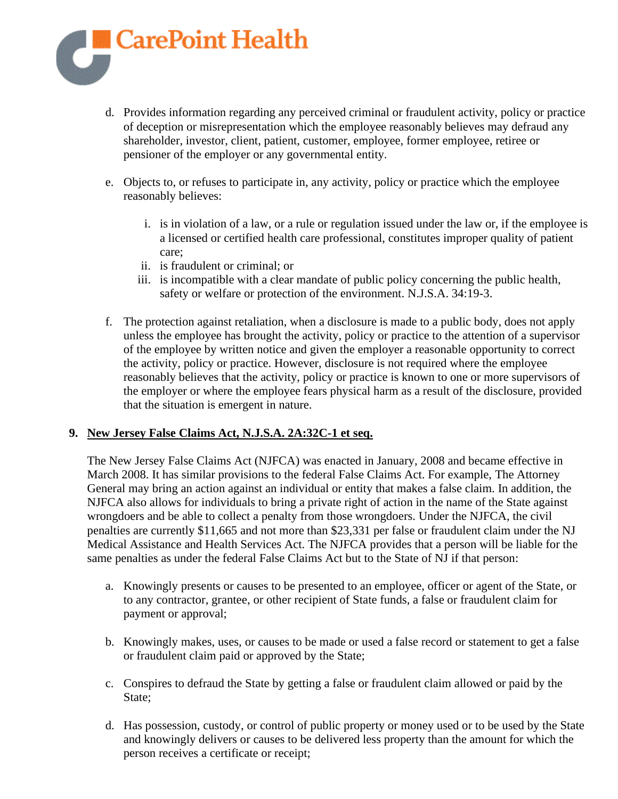

- d. Provides information regarding any perceived criminal or fraudulent activity, policy or practice of deception or misrepresentation which the employee reasonably believes may defraud any shareholder, investor, client, patient, customer, employee, former employee, retiree or pensioner of the employer or any governmental entity.
- e. Objects to, or refuses to participate in, any activity, policy or practice which the employee reasonably believes:
	- i. is in violation of a law, or a rule or regulation issued under the law or, if the employee is a licensed or certified health care professional, constitutes improper quality of patient care;
	- ii. is fraudulent or criminal; or
	- iii. is incompatible with a clear mandate of public policy concerning the public health, safety or welfare or protection of the environment. N.J.S.A. 34:19-3.
- f. The protection against retaliation, when a disclosure is made to a public body, does not apply unless the employee has brought the activity, policy or practice to the attention of a supervisor of the employee by written notice and given the employer a reasonable opportunity to correct the activity, policy or practice. However, disclosure is not required where the employee reasonably believes that the activity, policy or practice is known to one or more supervisors of the employer or where the employee fears physical harm as a result of the disclosure, provided that the situation is emergent in nature.

### **9. New Jersey False Claims Act, N.J.S.A. 2A:32C-1 et seq.**

The New Jersey False Claims Act (NJFCA) was enacted in January, 2008 and became effective in March 2008. It has similar provisions to the federal False Claims Act. For example, The Attorney General may bring an action against an individual or entity that makes a false claim. In addition, the NJFCA also allows for individuals to bring a private right of action in the name of the State against wrongdoers and be able to collect a penalty from those wrongdoers. Under the NJFCA, the civil penalties are currently \$11,665 and not more than \$23,331 per false or fraudulent claim under the NJ Medical Assistance and Health Services Act. The NJFCA provides that a person will be liable for the same penalties as under the federal False Claims Act but to the State of NJ if that person:

- a. Knowingly presents or causes to be presented to an employee, officer or agent of the State, or to any contractor, grantee, or other recipient of State funds, a false or fraudulent claim for payment or approval;
- b. Knowingly makes, uses, or causes to be made or used a false record or statement to get a false or fraudulent claim paid or approved by the State;
- c. Conspires to defraud the State by getting a false or fraudulent claim allowed or paid by the State;
- d. Has possession, custody, or control of public property or money used or to be used by the State and knowingly delivers or causes to be delivered less property than the amount for which the person receives a certificate or receipt;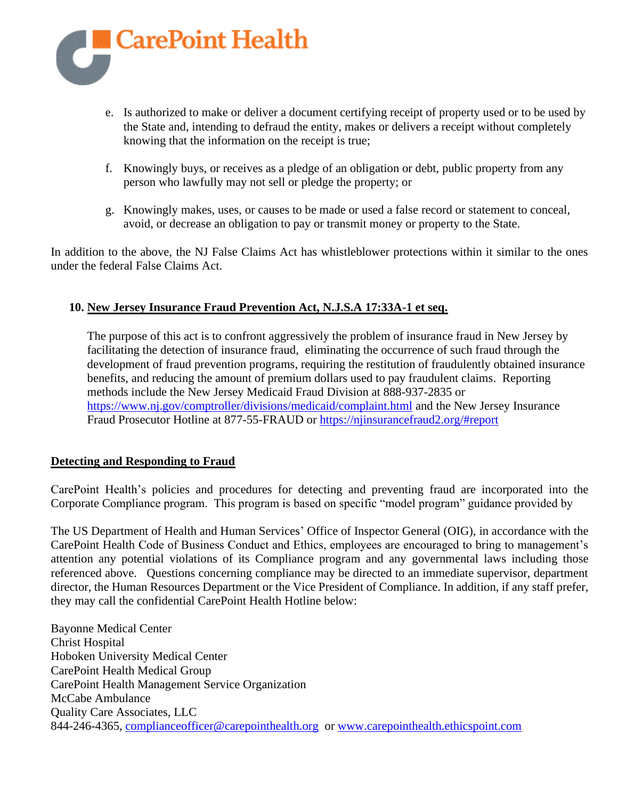

- e. Is authorized to make or deliver a document certifying receipt of property used or to be used by the State and, intending to defraud the entity, makes or delivers a receipt without completely knowing that the information on the receipt is true;
- f. Knowingly buys, or receives as a pledge of an obligation or debt, public property from any person who lawfully may not sell or pledge the property; or
- g. Knowingly makes, uses, or causes to be made or used a false record or statement to conceal, avoid, or decrease an obligation to pay or transmit money or property to the State.

In addition to the above, the NJ False Claims Act has whistleblower protections within it similar to the ones under the federal False Claims Act.

# **10. New Jersey Insurance Fraud Prevention Act, N.J.S.A 17:33A-1 et seq.**

The purpose of this act is to confront aggressively the problem of insurance fraud in New Jersey by facilitating the detection of insurance fraud, eliminating the occurrence of such fraud through the development of fraud prevention programs, requiring the restitution of fraudulently obtained insurance benefits, and reducing the amount of premium dollars used to pay fraudulent claims. Reporting methods include the New Jersey Medicaid Fraud Division at 888-937-2835 or <https://www.nj.gov/comptroller/divisions/medicaid/complaint.html> and the New Jersey Insurance Fraud Prosecutor Hotline at 877-55-FRAUD or<https://njinsurancefraud2.org/#report>

### **Detecting and Responding to Fraud**

CarePoint Health's policies and procedures for detecting and preventing fraud are incorporated into the Corporate Compliance program. This program is based on specific "model program" guidance provided by

The US Department of Health and Human Services' Office of Inspector General (OIG), in accordance with the CarePoint Health Code of Business Conduct and Ethics, employees are encouraged to bring to management's attention any potential violations of its Compliance program and any governmental laws including those referenced above. Questions concerning compliance may be directed to an immediate supervisor, department director, the Human Resources Department or the Vice President of Compliance. In addition, if any staff prefer, they may call the confidential CarePoint Health Hotline below:

Bayonne Medical Center Christ Hospital Hoboken University Medical Center CarePoint Health Medical Group CarePoint Health Management Service Organization McCabe Ambulance Quality Care Associates, LLC 844-246-4365, [complianceofficer@carepointhealth.org](mailto:complianceofficer@carepointhealth.org) or [www.carepointhealth.ethicspoint.com](http://www.carepointhealth.ethicspoint.com/)